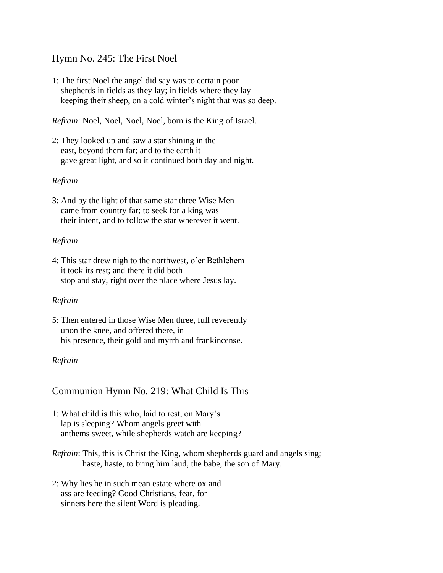## Hymn No. 245: The First Noel

1: The first Noel the angel did say was to certain poor shepherds in fields as they lay; in fields where they lay keeping their sheep, on a cold winter's night that was so deep.

*Refrain*: Noel, Noel, Noel, Noel, born is the King of Israel.

2: They looked up and saw a star shining in the east, beyond them far; and to the earth it gave great light, and so it continued both day and night.

### *Refrain*

3: And by the light of that same star three Wise Men came from country far; to seek for a king was their intent, and to follow the star wherever it went.

### *Refrain*

4: This star drew nigh to the northwest, o'er Bethlehem it took its rest; and there it did both stop and stay, right over the place where Jesus lay.

### *Refrain*

5: Then entered in those Wise Men three, full reverently upon the knee, and offered there, in his presence, their gold and myrrh and frankincense.

### *Refrain*

# Communion Hymn No. 219: What Child Is This

- 1: What child is this who, laid to rest, on Mary's lap is sleeping? Whom angels greet with anthems sweet, while shepherds watch are keeping?
- *Refrain*: This, this is Christ the King, whom shepherds guard and angels sing; haste, haste, to bring him laud, the babe, the son of Mary.
- 2: Why lies he in such mean estate where ox and ass are feeding? Good Christians, fear, for sinners here the silent Word is pleading.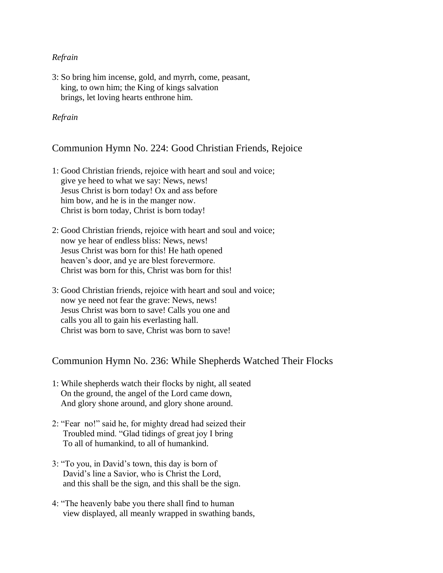### *Refrain*

3: So bring him incense, gold, and myrrh, come, peasant, king, to own him; the King of kings salvation brings, let loving hearts enthrone him.

### *Refrain*

## Communion Hymn No. 224: Good Christian Friends, Rejoice

- 1: Good Christian friends, rejoice with heart and soul and voice; give ye heed to what we say: News, news! Jesus Christ is born today! Ox and ass before him bow, and he is in the manger now. Christ is born today, Christ is born today!
- 2: Good Christian friends, rejoice with heart and soul and voice; now ye hear of endless bliss: News, news! Jesus Christ was born for this! He hath opened heaven's door, and ye are blest forevermore. Christ was born for this, Christ was born for this!
- 3: Good Christian friends, rejoice with heart and soul and voice; now ye need not fear the grave: News, news! Jesus Christ was born to save! Calls you one and calls you all to gain his everlasting hall. Christ was born to save, Christ was born to save!

# Communion Hymn No. 236: While Shepherds Watched Their Flocks

- 1: While shepherds watch their flocks by night, all seated On the ground, the angel of the Lord came down, And glory shone around, and glory shone around.
- 2: "Fear no!" said he, for mighty dread had seized their Troubled mind. "Glad tidings of great joy I bring To all of humankind, to all of humankind.
- 3: "To you, in David's town, this day is born of David's line a Savior, who is Christ the Lord, and this shall be the sign, and this shall be the sign.
- 4: "The heavenly babe you there shall find to human view displayed, all meanly wrapped in swathing bands,